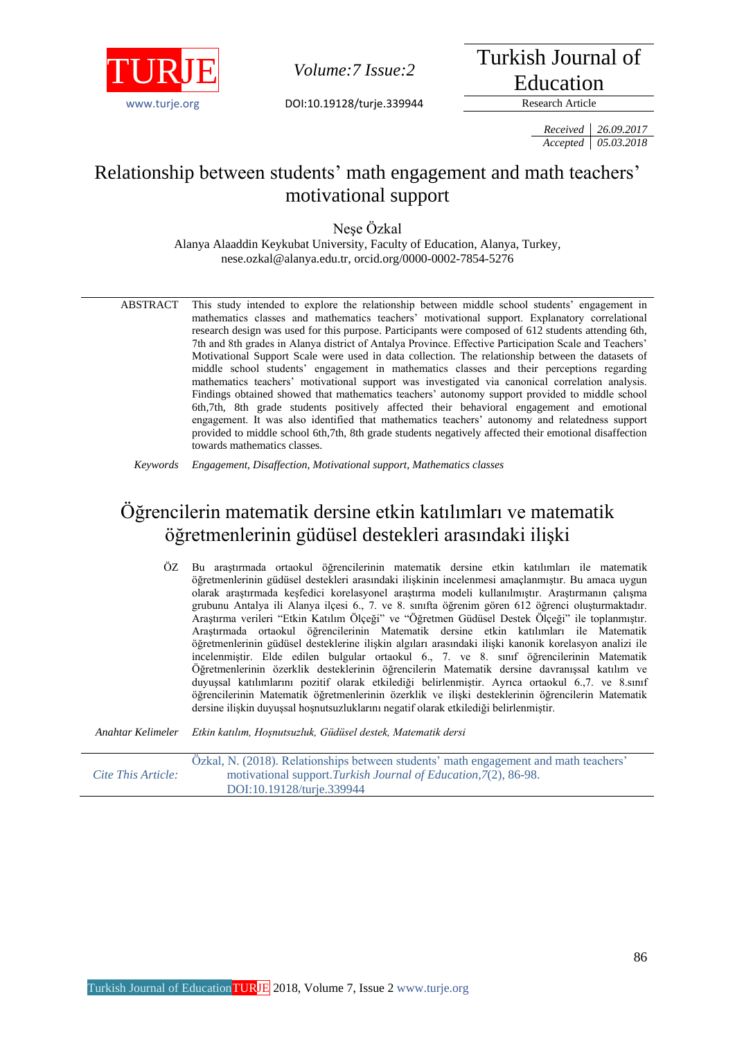

*Volume: 7 Issue: 2* 

www.turie.org **DOI:10.19128/turie.339944** Research Article

Turkish Journal of Education

*Received 26.09.2017 Accepted 05.03.2018*

# Relationship between students' math engagement and math teachers' motivational support

Neşe Özkal

Alanya Alaaddin Keykubat University, Faculty of Education, Alanya, Turkey, nese.ozkal@alanya.edu.tr, orcid.org/0000-0002-7854-5276

ABSTRACT This study intended to explore the relationship between middle school students' engagement in mathematics classes and mathematics teachers' motivational support. Explanatory correlational research design was used for this purpose. Participants were composed of 612 students attending 6th, 7th and 8th grades in Alanya district of Antalya Province. Effective Participation Scale and Teachers' Motivational Support Scale were used in data collection. The relationship between the datasets of middle school students' engagement in mathematics classes and their perceptions regarding mathematics teachers' motivational support was investigated via canonical correlation analysis. Findings obtained showed that mathematics teachers' autonomy support provided to middle school 6th,7th, 8th grade students positively affected their behavioral engagement and emotional engagement. It was also identified that mathematics teachers' autonomy and relatedness support provided to middle school 6th,7th, 8th grade students negatively affected their emotional disaffection towards mathematics classes.

*Keywords Engagement, Disaffection, Motivational support, Mathematics classes*

# Öğrencilerin matematik dersine etkin katılımları ve matematik öğretmenlerinin güdüsel destekleri arasındaki ilişki

ÖZ Bu araştırmada ortaokul öğrencilerinin matematik dersine etkin katılımları ile matematik öğretmenlerinin güdüsel destekleri arasındaki ilişkinin incelenmesi amaçlanmıştır. Bu amaca uygun olarak araştırmada keşfedici korelasyonel araştırma modeli kullanılmıştır. Araştırmanın çalışma grubunu Antalya ili Alanya ilçesi 6., 7. ve 8. sınıfta öğrenim gören 612 öğrenci oluşturmaktadır. Araştırma verileri "Etkin Katılım Ölçeği" ve "Öğretmen Güdüsel Destek Ölçeği" ile toplanmıştır. Araştırmada ortaokul öğrencilerinin Matematik dersine etkin katılımları ile Matematik öğretmenlerinin güdüsel desteklerine ilişkin algıları arasındaki ilişki kanonik korelasyon analizi ile incelenmiştir. Elde edilen bulgular ortaokul 6., 7. ve 8. sınıf öğrencilerinin Matematik Öğretmenlerinin özerklik desteklerinin öğrencilerin Matematik dersine davranışsal katılım ve duyuşsal katılımlarını pozitif olarak etkilediği belirlenmiştir. Ayrıca ortaokul 6.,7. ve 8.sınıf öğrencilerinin Matematik öğretmenlerinin özerklik ve ilişki desteklerinin öğrencilerin Matematik dersine ilişkin duyuşsal hoşnutsuzluklarını negatif olarak etkilediği belirlenmiştir.

*Anahtar Kelimeler Etkin katılım, Hoşnutsuzluk, Güdüsel destek, Matematik dersi*

*Cite This Article:* Özkal, N. (2018). Relationships between students' math engagement and math teachers' motivational support.*Turkish Journal of Education,7*(2), 86-98. DOI:10.19128/turje.339944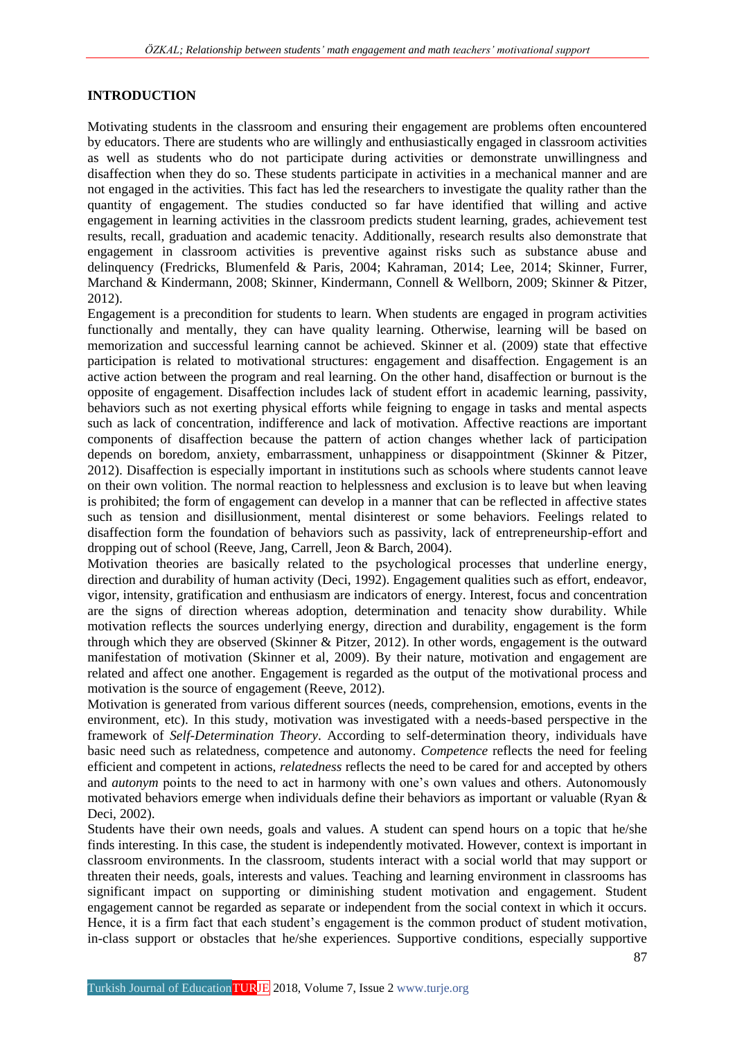# **INTRODUCTION**

Motivating students in the classroom and ensuring their engagement are problems often encountered by educators. There are students who are willingly and enthusiastically engaged in classroom activities as well as students who do not participate during activities or demonstrate unwillingness and disaffection when they do so. These students participate in activities in a mechanical manner and are not engaged in the activities. This fact has led the researchers to investigate the quality rather than the quantity of engagement. The studies conducted so far have identified that willing and active engagement in learning activities in the classroom predicts student learning, grades, achievement test results, recall, graduation and academic tenacity. Additionally, research results also demonstrate that engagement in classroom activities is preventive against risks such as substance abuse and delinquency (Fredricks, Blumenfeld & Paris, 2004; Kahraman, 2014; Lee, 2014; Skinner, Furrer, Marchand & Kindermann, 2008; Skinner, Kindermann, Connell & Wellborn, 2009; Skinner & Pitzer, 2012).

Engagement is a precondition for students to learn. When students are engaged in program activities functionally and mentally, they can have quality learning. Otherwise, learning will be based on memorization and successful learning cannot be achieved. Skinner et al. (2009) state that effective participation is related to motivational structures: engagement and disaffection. Engagement is an active action between the program and real learning. On the other hand, disaffection or burnout is the opposite of engagement. Disaffection includes lack of student effort in academic learning, passivity, behaviors such as not exerting physical efforts while feigning to engage in tasks and mental aspects such as lack of concentration, indifference and lack of motivation. Affective reactions are important components of disaffection because the pattern of action changes whether lack of participation depends on boredom, anxiety, embarrassment, unhappiness or disappointment (Skinner & Pitzer, 2012). Disaffection is especially important in institutions such as schools where students cannot leave on their own volition. The normal reaction to helplessness and exclusion is to leave but when leaving is prohibited; the form of engagement can develop in a manner that can be reflected in affective states such as tension and disillusionment, mental disinterest or some behaviors. Feelings related to disaffection form the foundation of behaviors such as passivity, lack of entrepreneurship-effort and dropping out of school (Reeve, Jang, Carrell, Jeon & Barch, 2004).

Motivation theories are basically related to the psychological processes that underline energy, direction and durability of human activity (Deci, 1992). Engagement qualities such as effort, endeavor, vigor, intensity, gratification and enthusiasm are indicators of energy. Interest, focus and concentration are the signs of direction whereas adoption, determination and tenacity show durability. While motivation reflects the sources underlying energy, direction and durability, engagement is the form through which they are observed (Skinner & Pitzer, 2012). In other words, engagement is the outward manifestation of motivation (Skinner et al, 2009). By their nature, motivation and engagement are related and affect one another. Engagement is regarded as the output of the motivational process and motivation is the source of engagement (Reeve, 2012).

Motivation is generated from various different sources (needs, comprehension, emotions, events in the environment, etc). In this study, motivation was investigated with a needs-based perspective in the framework of *Self-Determination Theory*. According to self-determination theory, individuals have basic need such as relatedness, competence and autonomy. *Competence* reflects the need for feeling efficient and competent in actions, *relatedness* reflects the need to be cared for and accepted by others and *autonym* points to the need to act in harmony with one's own values and others. Autonomously motivated behaviors emerge when individuals define their behaviors as important or valuable (Ryan & Deci, 2002).

Students have their own needs, goals and values. A student can spend hours on a topic that he/she finds interesting. In this case, the student is independently motivated. However, context is important in classroom environments. In the classroom, students interact with a social world that may support or threaten their needs, goals, interests and values. Teaching and learning environment in classrooms has significant impact on supporting or diminishing student motivation and engagement. Student engagement cannot be regarded as separate or independent from the social context in which it occurs. Hence, it is a firm fact that each student's engagement is the common product of student motivation, in-class support or obstacles that he/she experiences. Supportive conditions, especially supportive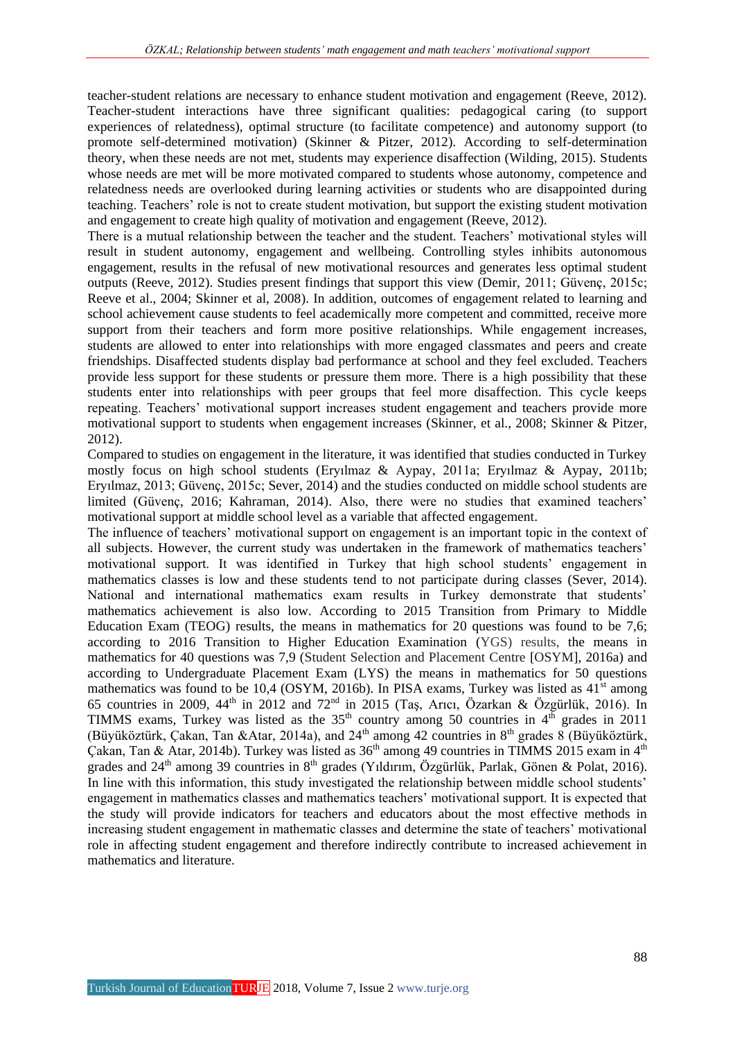teacher-student relations are necessary to enhance student motivation and engagement (Reeve, 2012). Teacher-student interactions have three significant qualities: pedagogical caring (to support experiences of relatedness), optimal structure (to facilitate competence) and autonomy support (to promote self-determined motivation) (Skinner & Pitzer, 2012). According to self-determination theory, when these needs are not met, students may experience disaffection (Wilding, 2015). Students whose needs are met will be more motivated compared to students whose autonomy, competence and relatedness needs are overlooked during learning activities or students who are disappointed during teaching. Teachers' role is not to create student motivation, but support the existing student motivation and engagement to create high quality of motivation and engagement (Reeve, 2012).

There is a mutual relationship between the teacher and the student. Teachers' motivational styles will result in student autonomy, engagement and wellbeing. Controlling styles inhibits autonomous engagement, results in the refusal of new motivational resources and generates less optimal student outputs (Reeve, 2012). Studies present findings that support this view (Demir, 2011; Güvenç, 2015c; Reeve et al., 2004; Skinner et al, 2008). In addition, outcomes of engagement related to learning and school achievement cause students to feel academically more competent and committed, receive more support from their teachers and form more positive relationships. While engagement increases, students are allowed to enter into relationships with more engaged classmates and peers and create friendships. Disaffected students display bad performance at school and they feel excluded. Teachers provide less support for these students or pressure them more. There is a high possibility that these students enter into relationships with peer groups that feel more disaffection. This cycle keeps repeating. Teachers' motivational support increases student engagement and teachers provide more motivational support to students when engagement increases (Skinner, et al., 2008; Skinner & Pitzer, 2012).

Compared to studies on engagement in the literature, it was identified that studies conducted in Turkey mostly focus on high school students (Eryılmaz & Aypay, 2011a; Eryılmaz & Aypay, 2011b; Eryılmaz, 2013; Güvenç, 2015c; Sever, 2014) and the studies conducted on middle school students are limited (Güvenç, 2016; Kahraman, 2014). Also, there were no studies that examined teachers' motivational support at middle school level as a variable that affected engagement.

The influence of teachers' motivational support on engagement is an important topic in the context of all subjects. However, the current study was undertaken in the framework of mathematics teachers' motivational support. It was identified in Turkey that high school students' engagement in mathematics classes is low and these students tend to not participate during classes (Sever, 2014). National and international mathematics exam results in Turkey demonstrate that students' mathematics achievement is also low. According to 2015 Transition from Primary to Middle Education Exam (TEOG) results, the means in mathematics for 20 questions was found to be 7,6; according to 2016 Transition to Higher Education Examination (YGS) results, the means in mathematics for 40 questions was 7,9 (Student Selection and Placement Centre [OSYM], 2016a) and according to Undergraduate Placement Exam (LYS) the means in mathematics for 50 questions mathematics was found to be 10.4 (OSYM, 2016b). In PISA exams, Turkey was listed as  $41<sup>st</sup>$  among 65 countries in 2009,  $44^{\text{th}}$  in 2012 and 72<sup>nd</sup> in 2015 (Taş, Arıcı, Özarkan & Özgürlük, 2016). In TIMMS exams, Turkey was listed as the  $35<sup>th</sup>$  country among 50 countries in  $4<sup>th</sup>$  grades in 2011 (Büyüköztürk, Çakan, Tan &Atar, 2014a), and 24<sup>th</sup> among 42 countries in 8<sup>th</sup> grades 8 (Büyüköztürk, Cakan, Tan & Atar, 2014b). Turkey was listed as  $36<sup>th</sup>$  among 49 countries in TIMMS 2015 exam in  $4<sup>th</sup>$ grades and  $24<sup>th</sup>$  among 39 countries in  $8<sup>th</sup>$  grades (Yıldırım, Özgürlük, Parlak, Gönen & Polat, 2016). In line with this information, this study investigated the relationship between middle school students' engagement in mathematics classes and mathematics teachers' motivational support. It is expected that the study will provide indicators for teachers and educators about the most effective methods in increasing student engagement in mathematic classes and determine the state of teachers' motivational role in affecting student engagement and therefore indirectly contribute to increased achievement in mathematics and literature.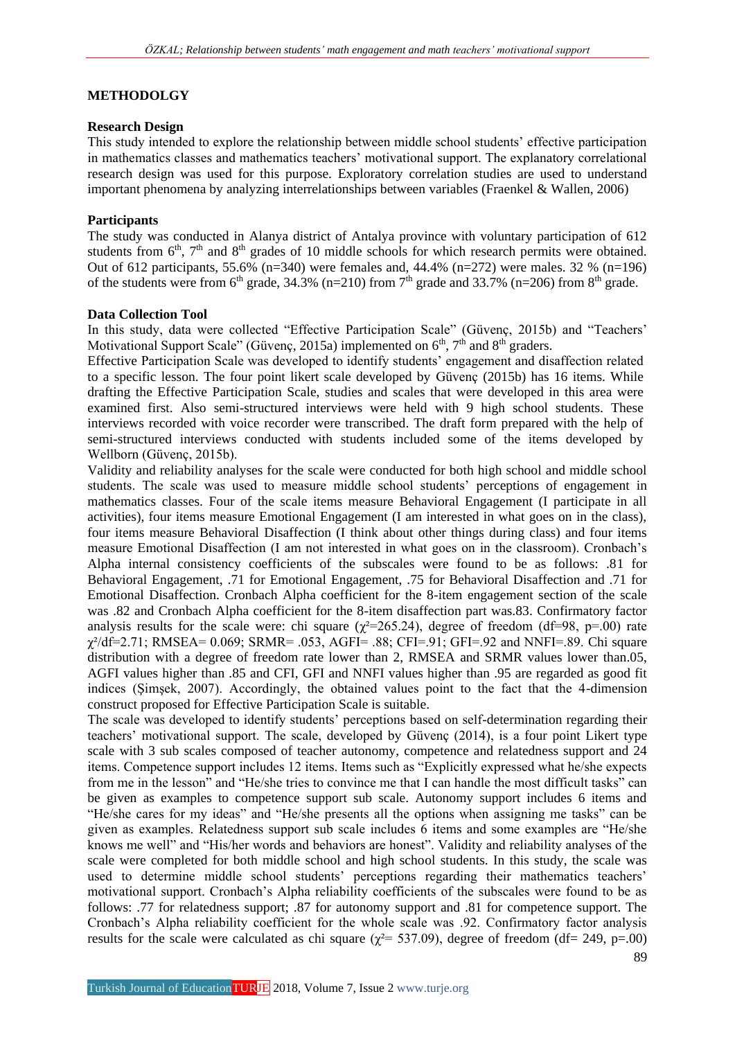# **METHODOLGY**

#### **Research Design**

This study intended to explore the relationship between middle school students' effective participation in mathematics classes and mathematics teachers' motivational support. The explanatory correlational research design was used for this purpose. Exploratory correlation studies are used to understand important phenomena by analyzing interrelationships between variables (Fraenkel & Wallen, 2006)

## **Participants**

The study was conducted in Alanya district of Antalya province with voluntary participation of 612 students from  $6<sup>th</sup>$ ,  $7<sup>th</sup>$  and  $8<sup>th</sup>$  grades of 10 middle schools for which research permits were obtained. Out of 612 participants, 55.6% (n=340) were females and, 44.4% (n=272) were males. 32 % (n=196) of the students were from  $6<sup>th</sup>$  grade, 34.3% (n=210) from  $7<sup>th</sup>$  grade and 33.7% (n=206) from  $8<sup>th</sup>$  grade.

## **Data Collection Tool**

In this study, data were collected "Effective Participation Scale" (Güvenç, 2015b) and "Teachers' Motivational Support Scale" (Güvenç, 2015a) implemented on  $6<sup>th</sup>$ ,  $7<sup>th</sup>$  and  $8<sup>th</sup>$  graders.

Effective Participation Scale was developed to identify students' engagement and disaffection related to a specific lesson. The four point likert scale developed by Güvenç (2015b) has 16 items. While drafting the Effective Participation Scale, studies and scales that were developed in this area were examined first. Also semi-structured interviews were held with 9 high school students. These interviews recorded with voice recorder were transcribed. The draft form prepared with the help of semi-structured interviews conducted with students included some of the items developed by Wellborn (Güvenç, 2015b).

Validity and reliability analyses for the scale were conducted for both high school and middle school students. The scale was used to measure middle school students' perceptions of engagement in mathematics classes. Four of the scale items measure Behavioral Engagement (I participate in all activities), four items measure Emotional Engagement (I am interested in what goes on in the class), four items measure Behavioral Disaffection (I think about other things during class) and four items measure Emotional Disaffection (I am not interested in what goes on in the classroom). Cronbach's Alpha internal consistency coefficients of the subscales were found to be as follows: .81 for Behavioral Engagement, .71 for Emotional Engagement, .75 for Behavioral Disaffection and .71 for Emotional Disaffection. Cronbach Alpha coefficient for the 8-item engagement section of the scale was .82 and Cronbach Alpha coefficient for the 8-item disaffection part was.83. Confirmatory factor analysis results for the scale were: chi square ( $\chi^2$ =265.24), degree of freedom (df=98, p=.00) rate  $\gamma^2$ /df=2.71; RMSEA= 0.069; SRMR= .053, AGFI= .88; CFI=.91; GFI=.92 and NNFI=.89. Chi square distribution with a degree of freedom rate lower than 2, RMSEA and SRMR values lower than.05, AGFI values higher than .85 and CFI, GFI and NNFI values higher than .95 are regarded as good fit indices (Şimşek, 2007). Accordingly, the obtained values point to the fact that the 4-dimension construct proposed for Effective Participation Scale is suitable.

The scale was developed to identify students' perceptions based on self-determination regarding their teachers' motivational support. The scale, developed by Güvenç (2014), is a four point Likert type scale with 3 sub scales composed of teacher autonomy, competence and relatedness support and 24 items. Competence support includes 12 items. Items such as "Explicitly expressed what he/she expects from me in the lesson" and "He/she tries to convince me that I can handle the most difficult tasks" can be given as examples to competence support sub scale. Autonomy support includes 6 items and "He/she cares for my ideas" and "He/she presents all the options when assigning me tasks" can be given as examples. Relatedness support sub scale includes 6 items and some examples are "He/she knows me well" and "His/her words and behaviors are honest". Validity and reliability analyses of the scale were completed for both middle school and high school students. In this study, the scale was used to determine middle school students' perceptions regarding their mathematics teachers' motivational support. Cronbach's Alpha reliability coefficients of the subscales were found to be as follows: .77 for relatedness support; .87 for autonomy support and .81 for competence support. The Cronbach's Alpha reliability coefficient for the whole scale was .92. Confirmatory factor analysis results for the scale were calculated as chi square ( $\gamma^2$  = 537.09), degree of freedom (df = 249, p=.00)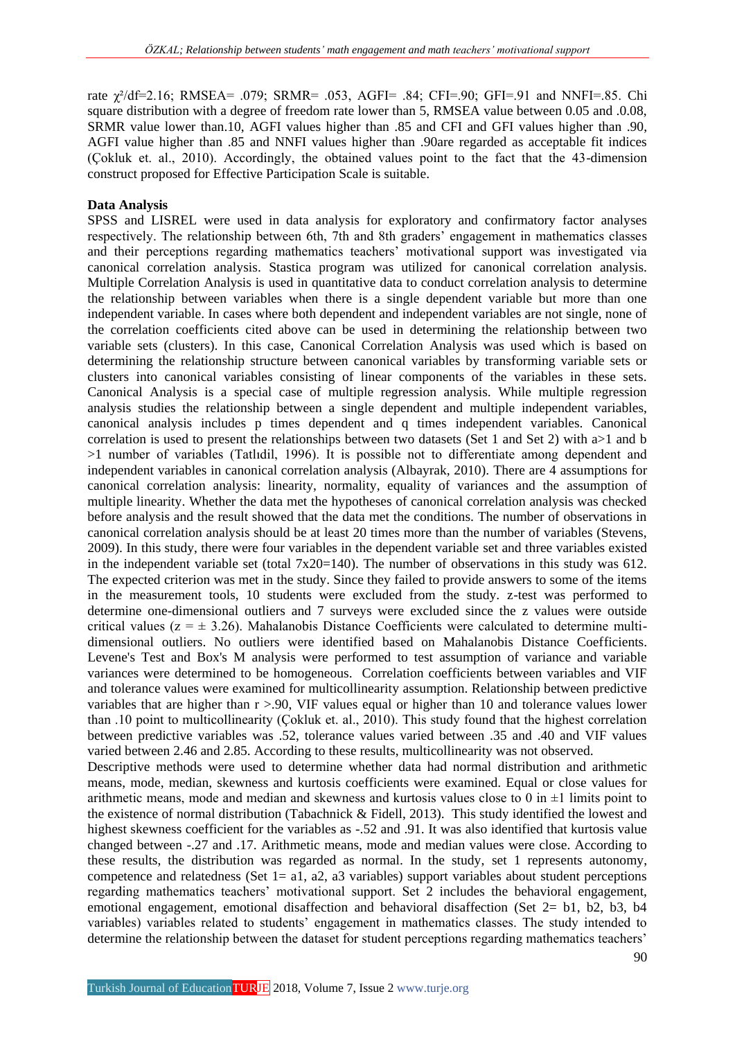rate χ²/df=2.16; RMSEA= .079; SRMR= .053, AGFI= .84; CFI=.90; GFI=.91 and NNFI=.85. Chi square distribution with a degree of freedom rate lower than 5, RMSEA value between 0.05 and .0.08, SRMR value lower than.10, AGFI values higher than .85 and CFI and GFI values higher than .90, AGFI value higher than .85 and NNFI values higher than .90are regarded as acceptable fit indices (Çokluk et. al., 2010). Accordingly, the obtained values point to the fact that the 43-dimension construct proposed for Effective Participation Scale is suitable.

# **Data Analysis**

SPSS and LISREL were used in data analysis for exploratory and confirmatory factor analyses respectively. The relationship between 6th, 7th and 8th graders' engagement in mathematics classes and their perceptions regarding mathematics teachers' motivational support was investigated via canonical correlation analysis. Stastica program was utilized for canonical correlation analysis. Multiple Correlation Analysis is used in quantitative data to conduct correlation analysis to determine the relationship between variables when there is a single dependent variable but more than one independent variable. In cases where both dependent and independent variables are not single, none of the correlation coefficients cited above can be used in determining the relationship between two variable sets (clusters). In this case, Canonical Correlation Analysis was used which is based on determining the relationship structure between canonical variables by transforming variable sets or clusters into canonical variables consisting of linear components of the variables in these sets. Canonical Analysis is a special case of multiple regression analysis. While multiple regression analysis studies the relationship between a single dependent and multiple independent variables, canonical analysis includes p times dependent and q times independent variables. Canonical correlation is used to present the relationships between two datasets (Set 1 and Set 2) with a>1 and b >1 number of variables (Tatlıdil, 1996). It is possible not to differentiate among dependent and independent variables in canonical correlation analysis (Albayrak, 2010). There are 4 assumptions for canonical correlation analysis: linearity, normality, equality of variances and the assumption of multiple linearity. Whether the data met the hypotheses of canonical correlation analysis was checked before analysis and the result showed that the data met the conditions. The number of observations in canonical correlation analysis should be at least 20 times more than the number of variables (Stevens, 2009). In this study, there were four variables in the dependent variable set and three variables existed in the independent variable set (total  $7x20=140$ ). The number of observations in this study was 612. The expected criterion was met in the study. Since they failed to provide answers to some of the items in the measurement tools, 10 students were excluded from the study. z-test was performed to determine one-dimensional outliers and 7 surveys were excluded since the z values were outside critical values ( $z = \pm 3.26$ ). Mahalanobis Distance Coefficients were calculated to determine multidimensional outliers. No outliers were identified based on Mahalanobis Distance Coefficients. Levene's Test and Box's M analysis were performed to test assumption of variance and variable variances were determined to be homogeneous. Correlation coefficients between variables and VIF and tolerance values were examined for multicollinearity assumption. Relationship between predictive variables that are higher than  $r > 90$ , VIF values equal or higher than 10 and tolerance values lower than .10 point to multicollinearity (Çokluk et. al., 2010). This study found that the highest correlation between predictive variables was .52, tolerance values varied between .35 and .40 and VIF values varied between 2.46 and 2.85. According to these results, multicollinearity was not observed. Descriptive methods were used to determine whether data had normal distribution and arithmetic

means, mode, median, skewness and kurtosis coefficients were examined. Equal or close values for arithmetic means, mode and median and skewness and kurtosis values close to 0 in  $\pm$ 1 limits point to the existence of normal distribution (Tabachnick & Fidell, 2013). This study identified the lowest and highest skewness coefficient for the variables as -.52 and .91. It was also identified that kurtosis value changed between -.27 and .17. Arithmetic means, mode and median values were close. According to these results, the distribution was regarded as normal. In the study, set 1 represents autonomy, competence and relatedness (Set  $1= a1$ ,  $a2$ ,  $a3$  variables) support variables about student perceptions regarding mathematics teachers' motivational support. Set 2 includes the behavioral engagement, emotional engagement, emotional disaffection and behavioral disaffection (Set 2= b1, b2, b3, b4 variables) variables related to students' engagement in mathematics classes. The study intended to determine the relationship between the dataset for student perceptions regarding mathematics teachers'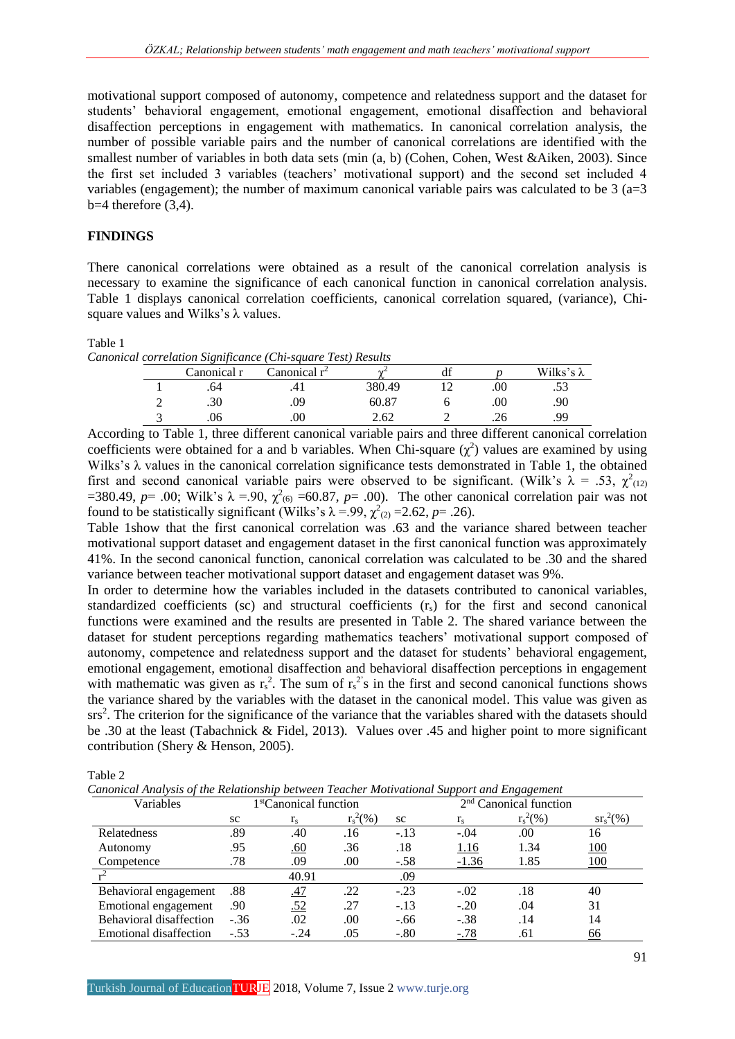motivational support composed of autonomy, competence and relatedness support and the dataset for students' behavioral engagement, emotional engagement, emotional disaffection and behavioral disaffection perceptions in engagement with mathematics. In canonical correlation analysis, the number of possible variable pairs and the number of canonical correlations are identified with the smallest number of variables in both data sets (min (a, b) (Cohen, Cohen, West &Aiken, 2003). Since the first set included 3 variables (teachers' motivational support) and the second set included 4 variables (engagement); the number of maximum canonical variable pairs was calculated to be  $3$  (a=3)  $b=4$  therefore  $(3,4)$ .

# **FINDINGS**

There canonical correlations were obtained as a result of the canonical correlation analysis is necessary to examine the significance of each canonical function in canonical correlation analysis. Table 1 displays canonical correlation coefficients, canonical correlation squared, (variance), Chisquare values and Wilks's λ values.

#### Table 1

*Canonical correlation Significance (Chi-square Test) Results*

|   | Canonical r | Canonical $r^2$ | $\sim$ | $\sim$ |     | Wilks's $\lambda$ |
|---|-------------|-----------------|--------|--------|-----|-------------------|
|   | .64         |                 | 380.49 | -      | .00 | .53               |
| ⌒ | .30         | .09             | 60.87  |        | .00 | .90               |
|   |             |                 | 2.62   |        |     | .99               |

According to Table 1, three different canonical variable pairs and three different canonical correlation coefficients were obtained for a and b variables. When Chi-square  $(\chi^2)$  values are examined by using Wilks's  $\lambda$  values in the canonical correlation significance tests demonstrated in Table 1, the obtained first and second canonical variable pairs were observed to be significant. (Wilk's  $\lambda = .53$ ,  $\chi^2_{(12)}$ =380.49,  $p=$  .00; Wilk's  $\lambda = 90$ ,  $\chi^2$ <sub>(6)</sub> =60.87,  $p=$  .00). The other canonical correlation pair was not found to be statistically significant (Wilks's  $\lambda = .99$ ,  $\chi^2_{(2)} = 2.62$ ,  $p = .26$ ).

Table 1show that the first canonical correlation was .63 and the variance shared between teacher motivational support dataset and engagement dataset in the first canonical function was approximately 41%. In the second canonical function, canonical correlation was calculated to be .30 and the shared variance between teacher motivational support dataset and engagement dataset was 9%.

In order to determine how the variables included in the datasets contributed to canonical variables, standardized coefficients (sc) and structural coefficients (rs) for the first and second canonical functions were examined and the results are presented in Table 2. The shared variance between the dataset for student perceptions regarding mathematics teachers' motivational support composed of autonomy, competence and relatedness support and the dataset for students' behavioral engagement, emotional engagement, emotional disaffection and behavioral disaffection perceptions in engagement with mathematic was given as  $r_s^2$ . The sum of  $r_s^2$ 's in the first and second canonical functions shows the variance shared by the variables with the dataset in the canonical model. This value was given as srs<sup>2</sup>. The criterion for the significance of the variance that the variables shared with the datasets should be .30 at the least (Tabachnick & Fidel, 2013). Values over .45 and higher point to more significant contribution (Shery & Henson, 2005).

Table 2

*Canonical Analysis of the Relationship between Teacher Motivational Support and Engagement* 

| Variables               | 1 <sup>st</sup> Canonical function |            |             | ്റ<br>2 <sup>nd</sup> Canonical function |             |             |              |
|-------------------------|------------------------------------|------------|-------------|------------------------------------------|-------------|-------------|--------------|
|                         | SC.                                | $r_{s}$    | $r_s^2(\%)$ | SC                                       | $r_{\rm s}$ | $r_s^2(\%)$ | $sr_s^2(\%)$ |
| Relatedness             | .89                                | .40        | .16         | $-.13$                                   | $-.04$      | .00         | 16           |
| Autonomy                | .95                                | <u>.60</u> | .36         | .18                                      | <u>1.16</u> | 1.34        | <u>100</u>   |
| Competence              | .78                                | .09        | .00.        | $-.58$                                   | $-1.36$     | 1.85        | 100          |
|                         |                                    | 40.91      |             | .09                                      |             |             |              |
| Behavioral engagement   | .88                                | .47        | .22         | $-.23$                                   | $-.02$      | .18         | 40           |
| Emotional engagement    | .90                                | <u>.52</u> | .27         | $-.13$                                   | $-.20$      | .04         | 31           |
| Behavioral disaffection | $-.36$                             | .02        | .00         | $-.66$                                   | $-.38$      | .14         | 14           |
| Emotional disaffection  | $-.53$                             | $-.24$     | .05         | $-.80$                                   | $-.78$      | .61         | <u>66</u>    |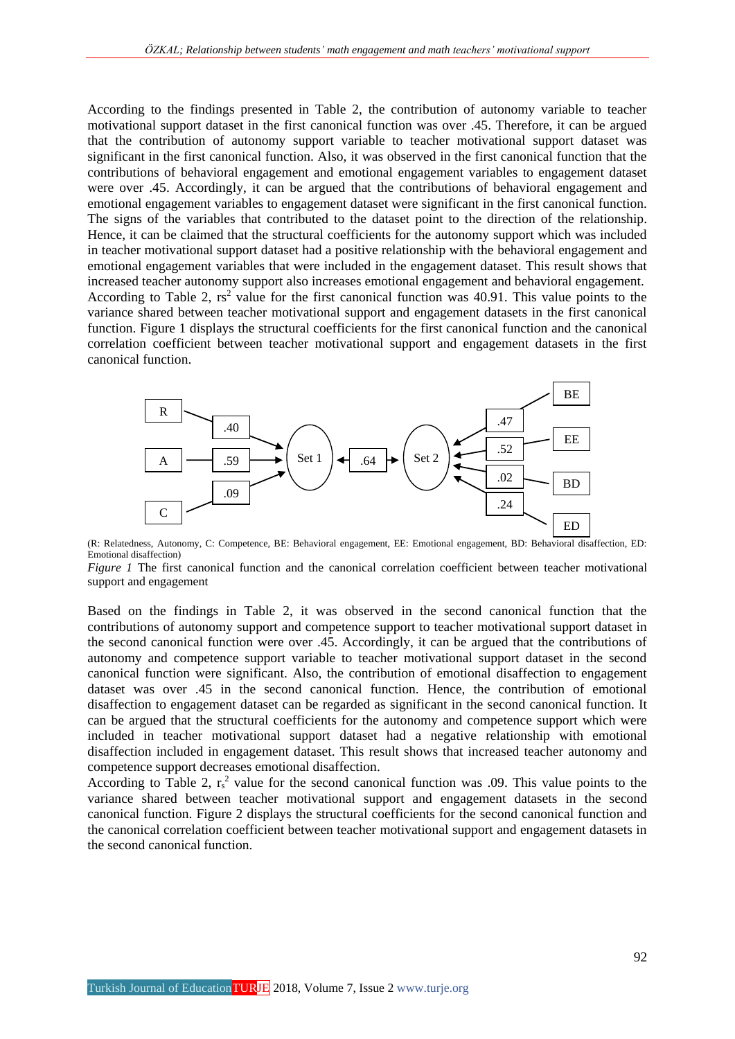According to the findings presented in Table 2, the contribution of autonomy variable to teacher motivational support dataset in the first canonical function was over .45. Therefore, it can be argued that the contribution of autonomy support variable to teacher motivational support dataset was significant in the first canonical function. Also, it was observed in the first canonical function that the contributions of behavioral engagement and emotional engagement variables to engagement dataset were over .45. Accordingly, it can be argued that the contributions of behavioral engagement and emotional engagement variables to engagement dataset were significant in the first canonical function. The signs of the variables that contributed to the dataset point to the direction of the relationship. Hence, it can be claimed that the structural coefficients for the autonomy support which was included in teacher motivational support dataset had a positive relationship with the behavioral engagement and emotional engagement variables that were included in the engagement dataset. This result shows that increased teacher autonomy support also increases emotional engagement and behavioral engagement. According to Table 2,  $rs^2$  value for the first canonical function was 40.91. This value points to the variance shared between teacher motivational support and engagement datasets in the first canonical function. Figure 1 displays the structural coefficients for the first canonical function and the canonical correlation coefficient between teacher motivational support and engagement datasets in the first canonical function.



(R: Relatedness, Autonomy, C: Competence, BE: Behavioral engagement, EE: Emotional engagement, BD: Behavioral disaffection, ED: Emotional disaffection)

*Figure 1* The first canonical function and the canonical correlation coefficient between teacher motivational support and engagement

Based on the findings in Table 2, it was observed in the second canonical function that the contributions of autonomy support and competence support to teacher motivational support dataset in the second canonical function were over .45. Accordingly, it can be argued that the contributions of autonomy and competence support variable to teacher motivational support dataset in the second canonical function were significant. Also, the contribution of emotional disaffection to engagement dataset was over .45 in the second canonical function. Hence, the contribution of emotional disaffection to engagement dataset can be regarded as significant in the second canonical function. It can be argued that the structural coefficients for the autonomy and competence support which were included in teacher motivational support dataset had a negative relationship with emotional disaffection included in engagement dataset. This result shows that increased teacher autonomy and competence support decreases emotional disaffection.

According to Table 2,  $r_s^2$  value for the second canonical function was .09. This value points to the variance shared between teacher motivational support and engagement datasets in the second canonical function. Figure 2 displays the structural coefficients for the second canonical function and the canonical correlation coefficient between teacher motivational support and engagement datasets in the second canonical function.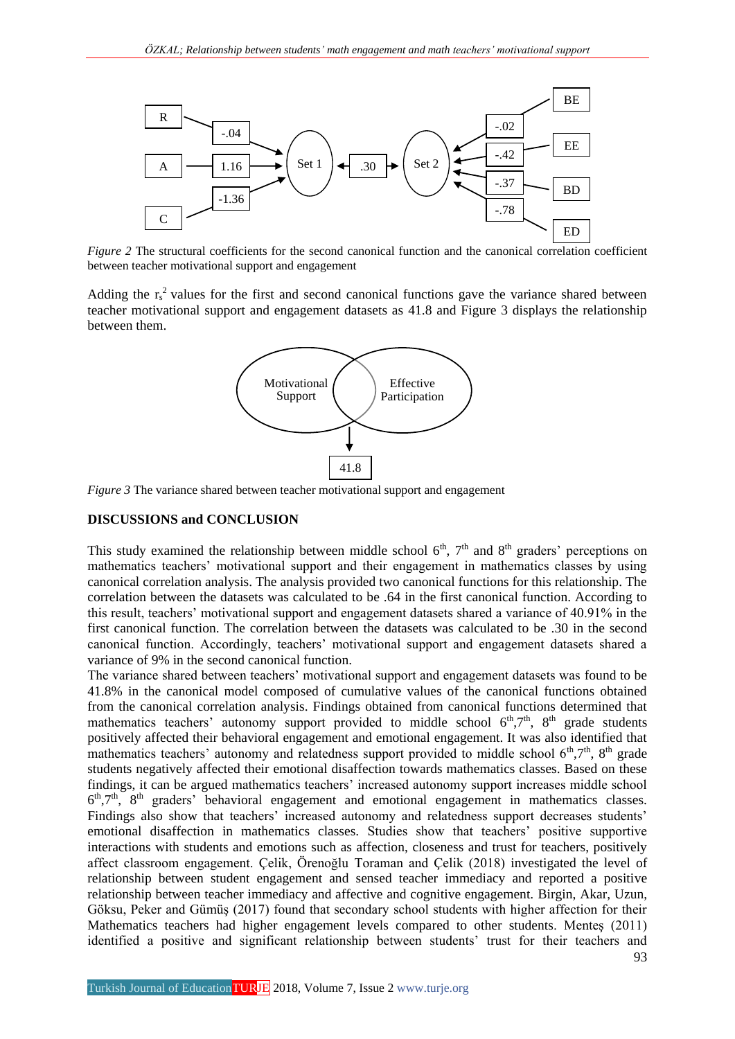

*Figure 2* The structural coefficients for the second canonical function and the canonical correlation coefficient between teacher motivational support and engagement

Adding the  $r_s^2$  values for the first and second canonical functions gave the variance shared between teacher motivational support and engagement datasets as 41.8 and Figure 3 displays the relationship between them.



*Figure 3* The variance shared between teacher motivational support and engagement

## **DISCUSSIONS and CONCLUSION**

This study examined the relationship between middle school  $6<sup>th</sup>$ ,  $7<sup>th</sup>$  and  $8<sup>th</sup>$  graders' perceptions on mathematics teachers' motivational support and their engagement in mathematics classes by using canonical correlation analysis. The analysis provided two canonical functions for this relationship. The correlation between the datasets was calculated to be .64 in the first canonical function. According to this result, teachers' motivational support and engagement datasets shared a variance of 40.91% in the first canonical function. The correlation between the datasets was calculated to be .30 in the second canonical function. Accordingly, teachers' motivational support and engagement datasets shared a variance of 9% in the second canonical function.

The variance shared between teachers' motivational support and engagement datasets was found to be 41.8% in the canonical model composed of cumulative values of the canonical functions obtained from the canonical correlation analysis. Findings obtained from canonical functions determined that mathematics teachers' autonomy support provided to middle school  $6<sup>th</sup>,7<sup>th</sup>$ ,  $8<sup>th</sup>$  grade students positively affected their behavioral engagement and emotional engagement. It was also identified that mathematics teachers' autonomy and relatedness support provided to middle school  $6<sup>th</sup>$ ,7<sup>th</sup>,  $8<sup>th</sup>$  grade students negatively affected their emotional disaffection towards mathematics classes. Based on these findings, it can be argued mathematics teachers' increased autonomy support increases middle school 6<sup>th</sup>,7<sup>th</sup>, 8<sup>th</sup> graders' behavioral engagement and emotional engagement in mathematics classes. Findings also show that teachers' increased autonomy and relatedness support decreases students' emotional disaffection in mathematics classes. Studies show that teachers' positive supportive interactions with students and emotions such as affection, closeness and trust for teachers, positively affect classroom engagement. Çelik, Örenoğlu Toraman and Çelik (2018) investigated the level of relationship between student engagement and sensed teacher immediacy and reported a positive relationship between teacher immediacy and affective and cognitive engagement. Birgin, Akar, Uzun, Göksu, Peker and Gümüş (2017) found that secondary school students with higher affection for their Mathematics teachers had higher engagement levels compared to other students. Menteş (2011) identified a positive and significant relationship between students' trust for their teachers and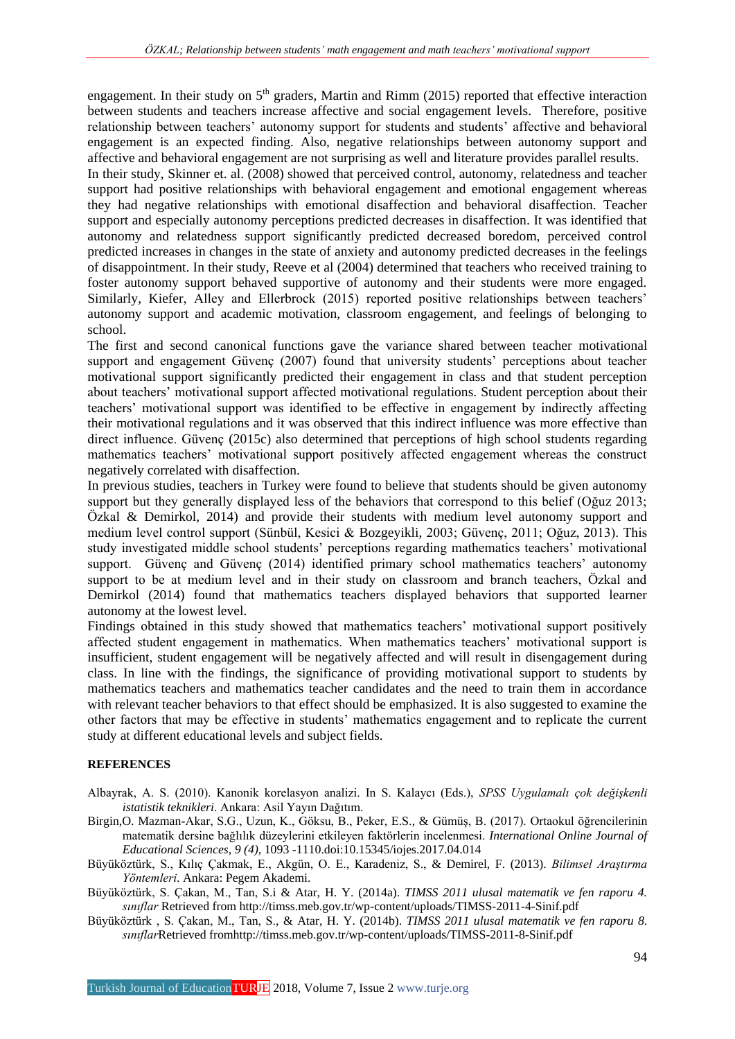engagement. In their study on  $5<sup>th</sup>$  graders, Martin and Rimm (2015) reported that effective interaction between students and teachers increase affective and social engagement levels. Therefore, positive relationship between teachers' autonomy support for students and students' affective and behavioral engagement is an expected finding. Also, negative relationships between autonomy support and affective and behavioral engagement are not surprising as well and literature provides parallel results.

In their study, Skinner et. al. (2008) showed that perceived control, autonomy, relatedness and teacher support had positive relationships with behavioral engagement and emotional engagement whereas they had negative relationships with emotional disaffection and behavioral disaffection. Teacher support and especially autonomy perceptions predicted decreases in disaffection. It was identified that autonomy and relatedness support significantly predicted decreased boredom, perceived control predicted increases in changes in the state of anxiety and autonomy predicted decreases in the feelings of disappointment. In their study, Reeve et al (2004) determined that teachers who received training to foster autonomy support behaved supportive of autonomy and their students were more engaged. Similarly, Kiefer, Alley and Ellerbrock (2015) reported positive relationships between teachers' autonomy support and academic motivation, classroom engagement, and feelings of belonging to school.

The first and second canonical functions gave the variance shared between teacher motivational support and engagement Güvenç (2007) found that university students' perceptions about teacher motivational support significantly predicted their engagement in class and that student perception about teachers' motivational support affected motivational regulations. Student perception about their teachers' motivational support was identified to be effective in engagement by indirectly affecting their motivational regulations and it was observed that this indirect influence was more effective than direct influence. Güvenç (2015c) also determined that perceptions of high school students regarding mathematics teachers' motivational support positively affected engagement whereas the construct negatively correlated with disaffection.

In previous studies, teachers in Turkey were found to believe that students should be given autonomy support but they generally displayed less of the behaviors that correspond to this belief (Oğuz 2013; Özkal & Demirkol, 2014) and provide their students with medium level autonomy support and medium level control support (Sünbül, Kesici & Bozgeyikli, 2003; Güvenç, 2011; Oğuz, 2013). This study investigated middle school students' perceptions regarding mathematics teachers' motivational support. Güvenc and Güvenc (2014) identified primary school mathematics teachers' autonomy support to be at medium level and in their study on classroom and branch teachers, Özkal and Demirkol (2014) found that mathematics teachers displayed behaviors that supported learner autonomy at the lowest level.

Findings obtained in this study showed that mathematics teachers' motivational support positively affected student engagement in mathematics. When mathematics teachers' motivational support is insufficient, student engagement will be negatively affected and will result in disengagement during class. In line with the findings, the significance of providing motivational support to students by mathematics teachers and mathematics teacher candidates and the need to train them in accordance with relevant teacher behaviors to that effect should be emphasized. It is also suggested to examine the other factors that may be effective in students' mathematics engagement and to replicate the current study at different educational levels and subject fields.

#### **REFERENCES**

- Albayrak, A. S. (2010). Kanonik korelasyon analizi. In S. Kalaycı (Eds.), *SPSS Uygulamalı çok değişkenli istatistik teknikleri*. Ankara: Asil Yayın Dağıtım.
- Birgin,O. Mazman-Akar, S.G., Uzun, K., Göksu, B., Peker, E.S., & Gümüş, B. (2017). Ortaokul öğrencilerinin matematik dersine bağlılık düzeylerini etkileyen faktörlerin incelenmesi. *International Online Journal of Educational Sciences, 9 (4)*, 1093 -1110.doi[:10.15345/iojes.2017.04.014](https://doi.org/10.15345/iojes.2017.04.014)
- Büyüköztürk, S., Kılıç Çakmak, E., Akgün, O. E., Karadeniz, S., & Demirel, F. (2013). *Bilimsel Araştırma Yöntemleri*. Ankara: Pegem Akademi.
- Büyüköztürk, S. Çakan, M., Tan, S.i & Atar, H. Y. (2014a). *TIMSS 2011 ulusal matematik ve fen raporu 4. sınıflar* Retrieved from<http://timss.meb.gov.tr/wp-content/uploads/TIMSS-2011-4-Sinif.pdf>
- Büyüköztürk , S. Çakan, M., Tan, S., & Atar, H. Y. (2014b). *TIMSS 2011 ulusal matematik ve fen raporu 8. sınıflar*Retrieved fro[mhttp://timss.meb.gov.tr/wp-content/uploads/TIMSS-2011-8-Sinif.pdf](http://timss.meb.gov.tr/wp-content/uploads/TIMSS-2011-8-Sinif.pdf)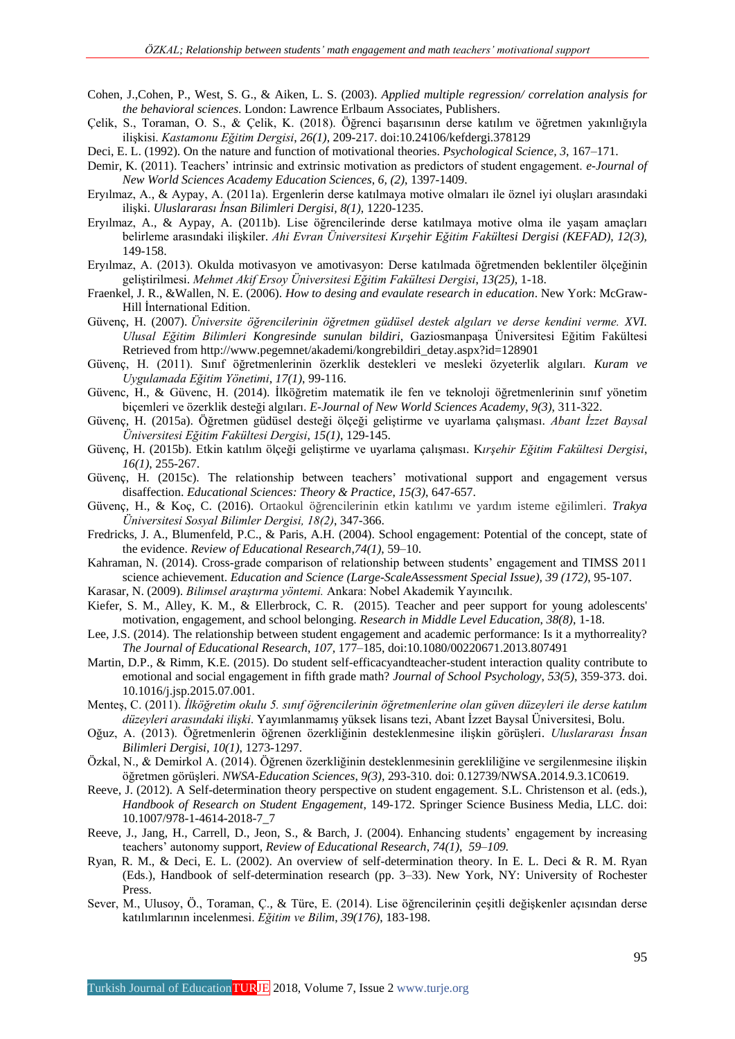- Cohen, J.,Cohen, P., West, S. G., & Aiken, L. S. (2003). *Applied multiple regression/ correlation analysis for the behavioral sciences*. London: Lawrence Erlbaum Associates, Publishers.
- Çelik, S., Toraman, O. S., & Çelik, K. (2018). Öğrenci başarısının derse katılım ve öğretmen yakınlığıyla ilişkisi. *Kastamonu Eğitim Dergisi*, *26(1)*, 209-217. doi:10.24106/kefdergi.378129
- Deci, E. L. (1992). On the nature and function of motivational theories. *Psychological Science, 3*, 167–171.
- Demir, K. (2011). Teachers' intrinsic and extrinsic motivation as predictors of student engagement. *e-Journal of New World Sciences Academy Education Sciences*, *6, (2)*, 1397-1409.
- Eryılmaz, A., & Aypay, A. (2011a). Ergenlerin derse katılmaya motive olmaları ile öznel iyi oluşları arasındaki ilişki. *Uluslararası İnsan Bilimleri Dergisi, 8(1)*, 1220-1235.
- Eryılmaz, A., & Aypay, A. (2011b). Lise öğrencilerinde derse katılmaya motive olma ile yaşam amaçları belirleme arasındaki ilişkiler. *Ahi Evran Üniversitesi Kırşehir Eğitim Fakültesi Dergisi (KEFAD), 12(3),*  149-158.
- Eryılmaz, A. (2013). Okulda motivasyon ve amotivasyon: Derse katılmada öğretmenden beklentiler ölçeğinin geliştirilmesi. *Mehmet Akif Ersoy Üniversitesi Eğitim Fakültesi Dergisi*, *13(25)*, 1-18.
- Fraenkel, J. R., &Wallen, N. E. (2006). *How to desing and evaulate research in education*. New York: McGraw-Hill İnternational Edition.
- Güvenç, H. (2007). *Üniversite öğrencilerinin öğretmen güdüsel destek algıları ve derse kendini verme. XVI. Ulusal Eğitim Bilimleri Kongresinde sunulan bildiri*, Gaziosmanpaşa Üniversitesi Eğitim Fakültesi Retrieved from [http://www.pegemnet/akademi/kongrebildiri\\_detay.aspx?id=128901](http://www.pegemnet/akademi/kongrebildiri_detay.aspx?id=128901)
- Güvenç, H. (2011). Sınıf öğretmenlerinin özerklik destekleri ve mesleki özyeterlik algıları. *Kuram ve Uygulamada Eğitim Yönetimi*, *17(1)*, 99-116.
- Güvenc, H., & Güvenc, H. (2014). İlköğretim matematik ile fen ve teknoloji öğretmenlerinin sınıf yönetim biçemleri ve özerklik desteği algıları. *E-Journal of New World Sciences Academy*, *9(3)*, 311-322.
- Güvenç, H. (2015a). Öğretmen güdüsel desteği ölçeği geliştirme ve uyarlama çalışması. *Abant İzzet Baysal Üniversitesi Eğitim Fakültesi Dergisi*, *15(1)*, 129-145.
- Güvenç, H. (2015b). Etkin katılım ölçeği geliştirme ve uyarlama çalışması. K*ırşehir Eğitim Fakültesi Dergisi*, *16(1)*, 255-267.
- Güvenç, H. (2015c). The relationship between teachers' motivational support and engagement versus disaffection. *Educational Sciences: Theory & Practice*, *15(3)*, 647-657.
- Güvenç, H., & Koç, C. (2016). Ortaokul öğrencilerinin etkin katılımı ve yardım isteme eğilimleri. *Trakya Üniversitesi Sosyal Bilimler Dergisi, 18(2)*, 347-366.
- Fredricks, J. A., Blumenfeld, P.C., & Paris, A.H. (2004). School engagement: Potential of the concept, state of the evidence. *Review of Educational Research*,*74(1)*, 59–10.
- Kahraman, N. (2014). Cross-grade comparison of relationship between students' engagement and TIMSS 2011 science achievement. *Education and Science (Large-ScaleAssessment Special Issue), 39 (172)*, 95-107.
- Karasar, N. (2009). *Bilimsel araştırma yöntemi.* Ankara: Nobel Akademik Yayıncılık.
- Kiefer, S. M., Alley, K. M., & Ellerbrock, C. R. (2015). Teacher and peer support for young adolescents' motivation, engagement, and school belonging. *Research in Middle Level Education*, *38(8)*, 1-18.
- Lee, J.S. (2014). The relationship between student engagement and academic performance: Is it a mythorreality? *The Journal of Educational Research*, *107,* 177–185, doi:10.1080/00220671.2013.807491
- Martin, D.P., & Rimm, K.E. (2015). Do student self-efficacyandteacher-student interaction quality contribute to emotional and social engagement in fifth grade math? *Journal of School Psychology*, *53(5)*, 359-373. doi. 10.1016/j.jsp.2015.07.001.
- Menteş, C. (2011). *İlköğretim okulu 5. sınıf öğrencilerinin öğretmenlerine olan güven düzeyleri ile derse katılım düzeyleri arasındaki ilişki*. Yayımlanmamış yüksek lisans tezi, Abant İzzet Baysal Üniversitesi, Bolu.
- Oğuz, A. (2013). Öğretmenlerin öğrenen özerkliğinin desteklenmesine ilişkin görüşleri. *Uluslararası İnsan Bilimleri Dergisi, 10(1)*, 1273-1297.
- Özkal, N., & Demirkol A. (2014). Öğrenen özerkliğinin desteklenmesinin gerekliliğine ve sergilenmesine ilişkin öğretmen görüşleri. *NWSA-Education Sciences*, *9(3),* 293-310. doi: 0.12739/NWSA.2014.9.3.1C0619.
- Reeve, J. (2012). A Self-determination theory perspective on student engagement. S.L. Christenson et al. (eds.), *Handbook of Research on Student Engagement*, 149-172. Springer Science Business Media, LLC. doi: 10.1007/978-1-4614-2018-7\_7
- Reeve, J., Jang, H., Carrell, D., Jeon, S., & Barch, J. (2004). Enhancing students' engagement by increasing teachers' autonomy support, *Review of Educational Research*, *74(1)*, *59–109.*
- Ryan, R. M., & Deci, E. L. (2002). An overview of self-determination theory. In E. L. Deci & R. M. Ryan (Eds.), Handbook of self-determination research (pp. 3–33). New York, NY: University of Rochester Press.
- Sever, M., Ulusoy, Ö., Toraman, Ç., & Türe, E. (2014). Lise öğrencilerinin çeşitli değişkenler açısından derse katılımlarının incelenmesi. *Eğitim ve Bilim*, *39(176)*, 183-198.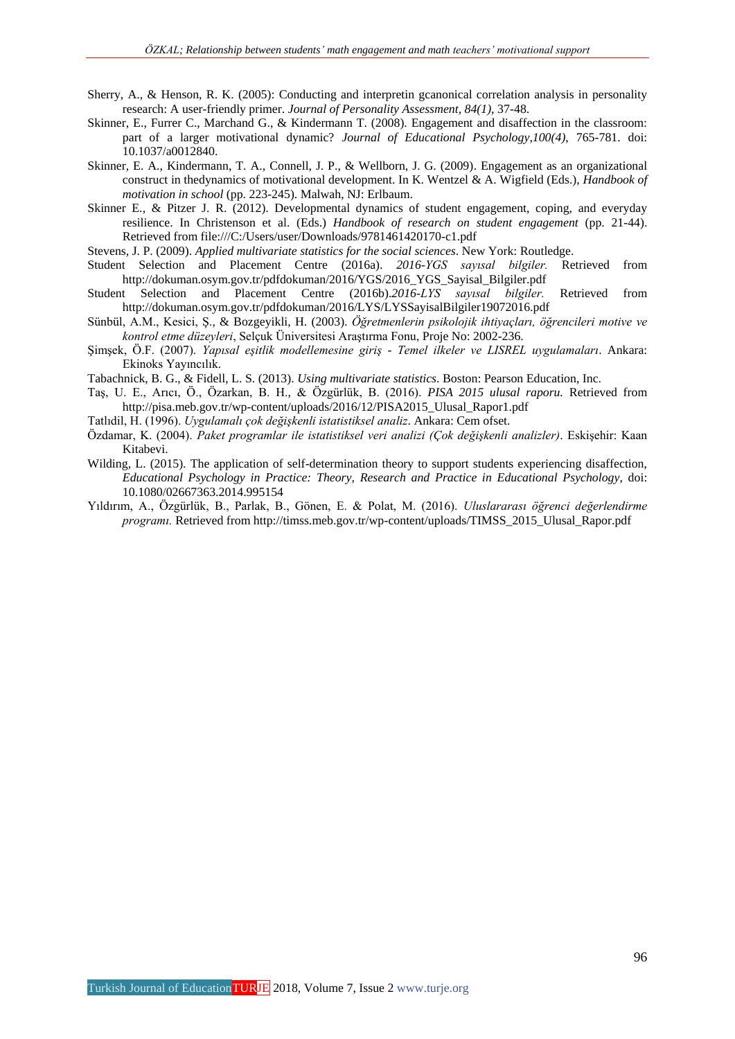- Sherry, A., & Henson, R. K. (2005): Conducting and interpretin gcanonical correlation analysis in personality research: A user-friendly primer. *Journal of Personality Assessment, 84(1)*, 37-48.
- Skinner, E., Furrer C., Marchand G., & Kindermann T. (2008). Engagement and disaffection in the classroom: part of a larger motivational dynamic? *Journal of Educational Psychology,100(4)*, 765-781. doi: 10.1037/a0012840.
- Skinner, E. A., Kindermann, T. A., Connell, J. P., & Wellborn, J. G. (2009). Engagement as an organizational construct in thedynamics of motivational development. In K. Wentzel & A. Wigfield (Eds.), *Handbook of motivation in school* (pp. 223-245). Malwah, NJ: Erlbaum.
- Skinner E., & Pitzer J. R. (2012). Developmental dynamics of student engagement, coping, and everyday resilience. In Christenson et al. (Eds.) *Handbook of research on student engagement* (pp. 21-44). Retrieved from file:///C:/Users/user/Downloads/9781461420170-c1.pdf

Stevens, J. P. (2009). *Applied multivariate statistics for the social sciences*. New York: Routledge.

- Student Selection and Placement Centre (2016a). *2016-YGS sayısal bilgiler.* Retrieved from [http://dokuman.osym.gov.tr/pdfdokuman/2016/YGS/2016\\_YGS\\_Sayisal\\_Bilgiler.pdf](http://dokuman.osym.gov.tr/pdfdokuman/2016/YGS/2016_YGS_Sayisal_Bilgiler.pdf)
- Student Selection and Placement Centre (2016b).*2016-LYS sayısal bilgiler.* Retrieved from <http://dokuman.osym.gov.tr/pdfdokuman/2016/LYS/LYSSayisalBilgiler19072016.pdf>
- Sünbül, A.M., Kesici, Ş., & Bozgeyikli, H. (2003). *Öğretmenlerin psikolojik ihtiyaçları, öğrencileri motive ve kontrol etme düzeyleri*, Selçuk Üniversitesi Araştırma Fonu, Proje No: 2002-236.
- Şimşek, Ö.F. (2007). *Yapısal eşitlik modellemesine giriş - Temel ilkeler ve LISREL uygulamaları*. Ankara: Ekinoks Yayıncılık.
- Tabachnick, B. G., & Fidell, L. S. (2013). *Using multivariate statistics*. Boston: Pearson Education, Inc.
- Taş, U. E., Arıcı, Ö., Özarkan, B. H., & Özgürlük, B. (2016). *PISA 2015 ulusal raporu.* Retrieved from http://pisa.meb.gov.tr/wp-content/uploads/2016/12/PISA2015\_Ulusal\_Rapor1.pdf
- Tatlıdil, H. (1996). *Uygulamalı çok değişkenli istatistiksel analiz*. Ankara: Cem ofset.
- Özdamar, K. (2004). *Paket programlar ile istatistiksel veri analizi (Çok değişkenli analizler)*. Eskişehir: Kaan Kitabevi.
- Wilding, L. (2015). The application of self-determination theory to support students experiencing disaffection, *Educational Psychology in Practice: Theory, Research and Practice in Educational Psychology*, doi: 10.1080/02667363.2014.995154
- Yıldırım, A., Özgürlük, B., Parlak, B., Gönen, E. & Polat, M. (2016). *Uluslararası öğrenci değerlendirme programı.* Retrieved from [http://timss.meb.gov.tr/wp-content/uploads/TIMSS\\_2015\\_Ulusal\\_Rapor.pdf](http://timss.meb.gov.tr/wp-content/uploads/TIMSS_2015_Ulusal_Rapor.pdf)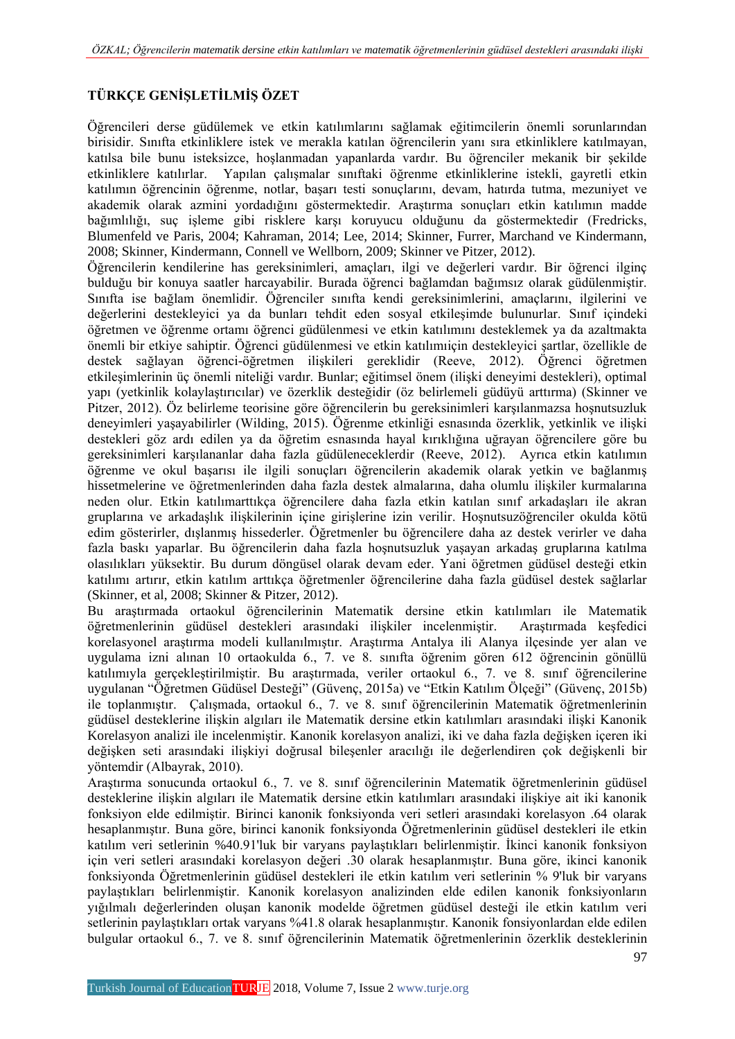# **TÜRKÇE GENİŞLETİLMİŞ ÖZET**

Öğrencileri derse güdülemek ve etkin katılımlarını sağlamak eğitimcilerin önemli sorunlarından birisidir. Sınıfta etkinliklere istek ve merakla katılan öğrencilerin yanı sıra etkinliklere katılmayan, katılsa bile bunu isteksizce, hoşlanmadan yapanlarda vardır. Bu öğrenciler mekanik bir şekilde etkinliklere katılırlar. Yapılan çalışmalar sınıftaki öğrenme etkinliklerine istekli, gayretli etkin katılımın öğrencinin öğrenme, notlar, başarı testi sonuçlarını, devam, hatırda tutma, mezuniyet ve akademik olarak azmini yordadığını göstermektedir. Araştırma sonuçları etkin katılımın madde bağımlılığı, suç işleme gibi risklere karşı koruyucu olduğunu da göstermektedir (Fredricks, Blumenfeld ve Paris, 2004; Kahraman, 2014; Lee, 2014; Skinner, Furrer, Marchand ve Kindermann, 2008; Skinner, Kindermann, Connell ve Wellborn, 2009; Skinner ve Pitzer, 2012).

Öğrencilerin kendilerine has gereksinimleri, amaçları, ilgi ve değerleri vardır. Bir öğrenci ilginç bulduğu bir konuya saatler harcayabilir. Burada öğrenci bağlamdan bağımsız olarak güdülenmiştir. Sınıfta ise bağlam önemlidir. Öğrenciler sınıfta kendi gereksinimlerini, amaçlarını, ilgilerini ve değerlerini destekleyici ya da bunları tehdit eden sosyal etkileşimde bulunurlar. Sınıf içindeki öğretmen ve öğrenme ortamı öğrenci güdülenmesi ve etkin katılımını desteklemek ya da azaltmakta önemli bir etkiye sahiptir. Öğrenci güdülenmesi ve etkin katılımıiçin destekleyici şartlar, özellikle de destek sağlayan öğrenci-öğretmen ilişkileri gereklidir (Reeve, 2012). Öğrenci öğretmen etkileşimlerinin üç önemli niteliği vardır. Bunlar; eğitimsel önem (ilişki deneyimi destekleri), optimal yapı (yetkinlik kolaylaştırıcılar) ve özerklik desteğidir (öz belirlemeli güdüyü arttırma) (Skinner ve Pitzer, 2012). Öz belirleme teorisine göre öğrencilerin bu gereksinimleri karşılanmazsa hoşnutsuzluk deneyimleri yaşayabilirler (Wilding, 2015). Öğrenme etkinliği esnasında özerklik, yetkinlik ve ilişki destekleri göz ardı edilen ya da öğretim esnasında hayal kırıklığına uğrayan öğrencilere göre bu gereksinimleri karşılananlar daha fazla güdüleneceklerdir (Reeve, 2012). Ayrıca etkin katılımın öğrenme ve okul başarısı ile ilgili sonuçları öğrencilerin akademik olarak yetkin ve bağlanmış hissetmelerine ve öğretmenlerinden daha fazla destek almalarına, daha olumlu ilişkiler kurmalarına neden olur. Etkin katılımarttıkça öğrencilere daha fazla etkin katılan sınıf arkadaşları ile akran gruplarına ve arkadaşlık ilişkilerinin içine girişlerine izin verilir. Hoşnutsuzöğrenciler okulda kötü edim gösterirler, dışlanmış hissederler. Öğretmenler bu öğrencilere daha az destek verirler ve daha fazla baskı yaparlar. Bu öğrencilerin daha fazla hoşnutsuzluk yaşayan arkadaş gruplarına katılma olasılıkları yüksektir. Bu durum döngüsel olarak devam eder. Yani öğretmen güdüsel desteği etkin katılımı artırır, etkin katılım arttıkça öğretmenler öğrencilerine daha fazla güdüsel destek sağlarlar (Skinner, et al, 2008; Skinner & Pitzer, 2012).

Bu araştırmada ortaokul öğrencilerinin Matematik dersine etkin katılımları ile Matematik öğretmenlerinin güdüsel destekleri arasındaki ilişkiler incelenmiştir. Araştırmada keşfedici korelasyonel araştırma modeli kullanılmıştır. Araştırma Antalya ili Alanya ilçesinde yer alan ve uygulama izni alınan 10 ortaokulda 6., 7. ve 8. sınıfta öğrenim gören 612 öğrencinin gönüllü katılımıyla gerçekleştirilmiştir. Bu araştırmada, veriler ortaokul 6., 7. ve 8. sınıf öğrencilerine uygulanan "Öğretmen Güdüsel Desteği" (Güvenç, 2015a) ve "Etkin Katılım Ölçeği" (Güvenç, 2015b) ile toplanmıştır. Çalışmada, ortaokul 6., 7. ve 8. sınıf öğrencilerinin Matematik öğretmenlerinin güdüsel desteklerine ilişkin algıları ile Matematik dersine etkin katılımları arasındaki ilişki Kanonik Korelasyon analizi ile incelenmiştir. Kanonik korelasyon analizi, iki ve daha fazla değişken içeren iki değişken seti arasındaki ilişkiyi doğrusal bileşenler aracılığı ile değerlendiren çok değişkenli bir yöntemdir (Albayrak, 2010).

Araştırma sonucunda ortaokul 6., 7. ve 8. sınıf öğrencilerinin Matematik öğretmenlerinin güdüsel desteklerine ilişkin algıları ile Matematik dersine etkin katılımları arasındaki ilişkiye ait iki kanonik fonksiyon elde edilmiştir. Birinci kanonik fonksiyonda veri setleri arasındaki korelasyon .64 olarak hesaplanmıştır. Buna göre, birinci kanonik fonksiyonda Öğretmenlerinin güdüsel destekleri ile etkin katılım veri setlerinin %40.91'luk bir varyans paylaştıkları belirlenmiştir. İkinci kanonik fonksiyon için veri setleri arasındaki korelasyon değeri .30 olarak hesaplanmıştır. Buna göre, ikinci kanonik fonksiyonda Öğretmenlerinin güdüsel destekleri ile etkin katılım veri setlerinin % 9'luk bir varyans paylaştıkları belirlenmiştir. Kanonik korelasyon analizinden elde edilen kanonik fonksiyonların yığılmalı değerlerinden oluşan kanonik modelde öğretmen güdüsel desteği ile etkin katılım veri setlerinin paylaştıkları ortak varyans %41.8 olarak hesaplanmıştır. Kanonik fonsiyonlardan elde edilen bulgular ortaokul 6., 7. ve 8. sınıf öğrencilerinin Matematik öğretmenlerinin özerklik desteklerinin